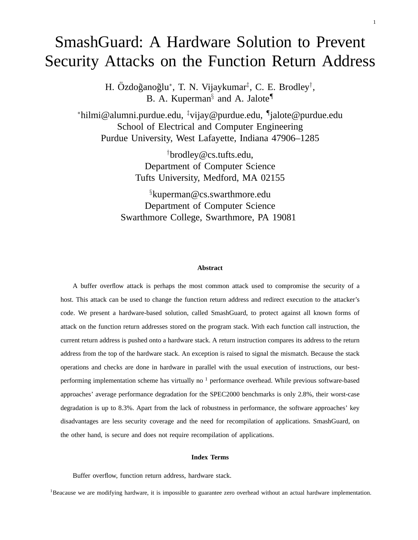# SmashGuard: A Hardware Solution to Prevent Security Attacks on the Function Return Address

H. Özdoğanoğlu\*, T. N. Vijaykumar<sup>‡</sup>, C. E. Brodley<sup>†</sup>, B. A. Kuperman<sup>§</sup> and A. Jalote

<sup>∗</sup>hilmi@alumni.purdue.edu, ‡vijay@purdue.edu, ¶ jalote@purdue.edu School of Electrical and Computer Engineering Purdue University, West Lafayette, Indiana 47906–1285

> †brodley@cs.tufts.edu, Department of Computer Science Tufts University, Medford, MA 02155

§kuperman@cs.swarthmore.edu Department of Computer Science Swarthmore College, Swarthmore, PA 19081

#### **Abstract**

A buffer overflow attack is perhaps the most common attack used to compromise the security of a host. This attack can be used to change the function return address and redirect execution to the attacker's code. We present a hardware-based solution, called SmashGuard, to protect against all known forms of attack on the function return addresses stored on the program stack. With each function call instruction, the current return address is pushed onto a hardware stack. A return instruction compares its address to the return address from the top of the hardware stack. An exception is raised to signal the mismatch. Because the stack operations and checks are done in hardware in parallel with the usual execution of instructions, our bestperforming implementation scheme has virtually no <sup>1</sup> performance overhead. While previous software-based approaches' average performance degradation for the SPEC2000 benchmarks is only 2.8%, their worst-case degradation is up to 8.3%. Apart from the lack of robustness in performance, the software approaches' key disadvantages are less security coverage and the need for recompilation of applications. SmashGuard, on the other hand, is secure and does not require recompilation of applications.

#### **Index Terms**

Buffer overflow, function return address, hardware stack.

<sup>1</sup>Beacause we are modifying hardware, it is impossible to guarantee zero overhead without an actual hardware implementation.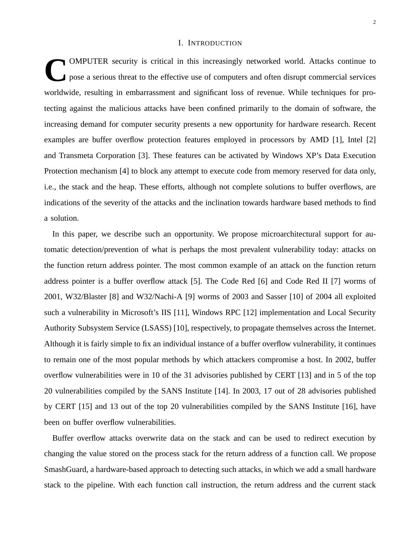#### I. INTRODUCTION

**C** OMPUTER security is critical in this increasingly networked world. Attacks continue to pose a serious threat to the effective use of computers and often disrupt commercial services worldwide, resulting in embarrassment and significant loss of revenue. While techniques for protecting against the malicious attacks have been confined primarily to the domain of software, the increasing demand for computer security presents a new opportunity for hardware research. Recent examples are buffer overflow protection features employed in processors by AMD [1], Intel [2] and Transmeta Corporation [3]. These features can be activated by Windows XP's Data Execution Protection mechanism [4] to block any attempt to execute code from memory reserved for data only, i.e., the stack and the heap. These efforts, although not complete solutions to buffer overflows, are indications of the severity of the attacks and the inclination towards hardware based methods to find a solution.

In this paper, we describe such an opportunity. We propose microarchitectural support for automatic detection/prevention of what is perhaps the most prevalent vulnerability today: attacks on the function return address pointer. The most common example of an attack on the function return address pointer is a buffer overflow attack [5]. The Code Red [6] and Code Red II [7] worms of 2001, W32/Blaster [8] and W32/Nachi-A [9] worms of 2003 and Sasser [10] of 2004 all exploited such a vulnerability in Microsoft's IIS [11], Windows RPC [12] implementation and Local Security Authority Subsystem Service (LSASS) [10], respectively, to propagate themselves across the Internet. Although it is fairly simple to fix an individual instance of a buffer overflow vulnerability, it continues to remain one of the most popular methods by which attackers compromise a host. In 2002, buffer overflow vulnerabilities were in 10 of the 31 advisories published by CERT [13] and in 5 of the top 20 vulnerabilities compiled by the SANS Institute [14]. In 2003, 17 out of 28 advisories published by CERT [15] and 13 out of the top 20 vulnerabilities compiled by the SANS Institute [16], have been on buffer overflow vulnerabilities.

Buffer overflow attacks overwrite data on the stack and can be used to redirect execution by changing the value stored on the process stack for the return address of a function call. We propose SmashGuard, a hardware-based approach to detecting such attacks, in which we add a small hardware stack to the pipeline. With each function call instruction, the return address and the current stack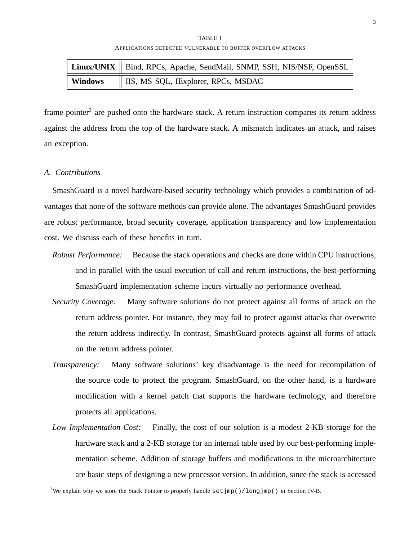TABLE I APPLICATIONS DETECTED VULNERABLE TO BUFFER OVERFLOW ATTACKS

|                | Linux/UNIX    Bind, RPCs, Apache, SendMail, SNMP, SSH, NIS/NSF, OpenSSL |
|----------------|-------------------------------------------------------------------------|
| <b>Windows</b> | $\parallel$ IIS, MS SQL, IExplorer, RPCs, MSDAC                         |

frame pointer<sup>2</sup> are pushed onto the hardware stack. A return instruction compares its return address against the address from the top of the hardware stack. A mismatch indicates an attack, and raises an exception.

# *A. Contributions*

SmashGuard is a novel hardware-based security technology which provides a combination of advantages that none of the software methods can provide alone. The advantages SmashGuard provides are robust performance, broad security coverage, application transparency and low implementation cost. We discuss each of these benefits in turn.

- *Robust Performance:* Because the stack operations and checks are done within CPU instructions, and in parallel with the usual execution of call and return instructions, the best-performing SmashGuard implementation scheme incurs virtually no performance overhead.
- *Security Coverage:* Many software solutions do not protect against all forms of attack on the return address pointer. For instance, they may fail to protect against attacks that overwrite the return address indirectly. In contrast, SmashGuard protects against all forms of attack on the return address pointer.
- *Transparency:* Many software solutions' key disadvantage is the need for recompilation of the source code to protect the program. SmashGuard, on the other hand, is a hardware modification with a kernel patch that supports the hardware technology, and therefore protects all applications.
- *Low Implementation Cost:* Finally, the cost of our solution is a modest 2-KB storage for the hardware stack and a 2-KB storage for an internal table used by our best-performing implementation scheme. Addition of storage buffers and modifications to the microarchitecture are basic steps of designing a new processor version. In addition, since the stack is accessed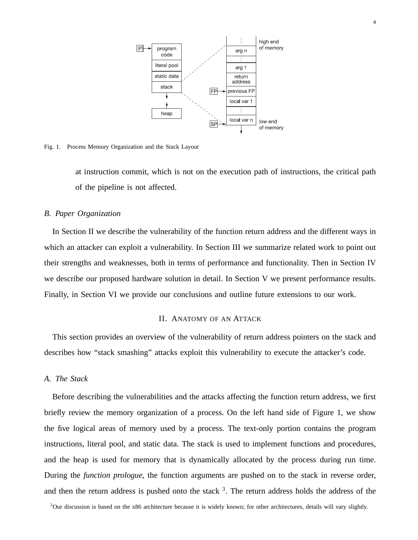

Fig. 1. Process Memory Organization and the Stack Layout

at instruction commit, which is not on the execution path of instructions, the critical path of the pipeline is not affected.

#### *B. Paper Organization*

In Section II we describe the vulnerability of the function return address and the different ways in which an attacker can exploit a vulnerability. In Section III we summarize related work to point out their strengths and weaknesses, both in terms of performance and functionality. Then in Section IV we describe our proposed hardware solution in detail. In Section V we present performance results. Finally, in Section VI we provide our conclusions and outline future extensions to our work.

## II. ANATOMY OF AN ATTACK

This section provides an overview of the vulnerability of return address pointers on the stack and describes how "stack smashing" attacks exploit this vulnerability to execute the attacker's code.

# *A. The Stack*

Before describing the vulnerabilities and the attacks affecting the function return address, we first briefly review the memory organization of a process. On the left hand side of Figure 1, we show the five logical areas of memory used by a process. The text-only portion contains the program instructions, literal pool, and static data. The stack is used to implement functions and procedures, and the heap is used for memory that is dynamically allocated by the process during run time. During the *function prologue*, the function arguments are pushed on to the stack in reverse order, and then the return address is pushed onto the stack <sup>3</sup>. The return address holds the address of the

 $3$ Our discussion is based on the x86 architecture because it is widely known; for other architectures, details will vary slightly.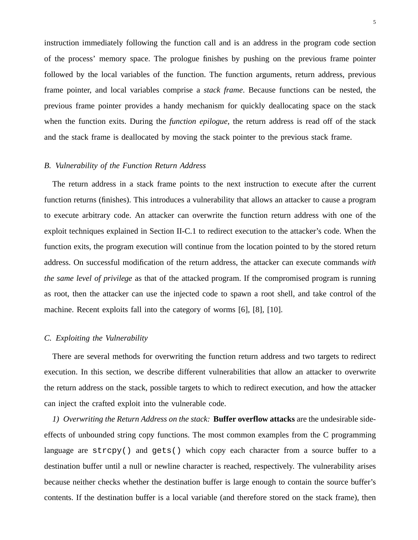instruction immediately following the function call and is an address in the program code section of the process' memory space. The prologue finishes by pushing on the previous frame pointer followed by the local variables of the function. The function arguments, return address, previous frame pointer, and local variables comprise a *stack frame*. Because functions can be nested, the previous frame pointer provides a handy mechanism for quickly deallocating space on the stack when the function exits. During the *function epilogue*, the return address is read off of the stack and the stack frame is deallocated by moving the stack pointer to the previous stack frame.

# *B. Vulnerability of the Function Return Address*

The return address in a stack frame points to the next instruction to execute after the current function returns (finishes). This introduces a vulnerability that allows an attacker to cause a program to execute arbitrary code. An attacker can overwrite the function return address with one of the exploit techniques explained in Section II-C.1 to redirect execution to the attacker's code. When the function exits, the program execution will continue from the location pointed to by the stored return address. On successful modification of the return address, the attacker can execute commands *with the same level of privilege* as that of the attacked program. If the compromised program is running as root, then the attacker can use the injected code to spawn a root shell, and take control of the machine. Recent exploits fall into the category of worms [6], [8], [10].

# *C. Exploiting the Vulnerability*

There are several methods for overwriting the function return address and two targets to redirect execution. In this section, we describe different vulnerabilities that allow an attacker to overwrite the return address on the stack, possible targets to which to redirect execution, and how the attacker can inject the crafted exploit into the vulnerable code.

*1) Overwriting the Return Address on the stack:* **Buffer overflow attacks** are the undesirable sideeffects of unbounded string copy functions. The most common examples from the C programming language are strcpy() and gets() which copy each character from a source buffer to a destination buffer until a null or newline character is reached, respectively. The vulnerability arises because neither checks whether the destination buffer is large enough to contain the source buffer's contents. If the destination buffer is a local variable (and therefore stored on the stack frame), then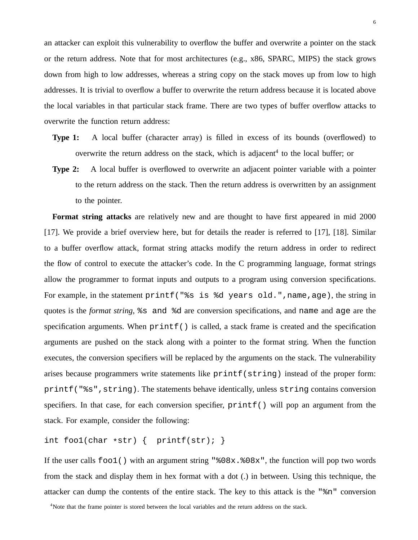an attacker can exploit this vulnerability to overflow the buffer and overwrite a pointer on the stack or the return address. Note that for most architectures (e.g., x86, SPARC, MIPS) the stack grows down from high to low addresses, whereas a string copy on the stack moves up from low to high addresses. It is trivial to overflow a buffer to overwrite the return address because it is located above the local variables in that particular stack frame. There are two types of buffer overflow attacks to overwrite the function return address:

- **Type 1:** A local buffer (character array) is filled in excess of its bounds (overflowed) to overwrite the return address on the stack, which is adjacent<sup>4</sup> to the local buffer; or
- **Type 2:** A local buffer is overflowed to overwrite an adjacent pointer variable with a pointer to the return address on the stack. Then the return address is overwritten by an assignment to the pointer.

**Format string attacks** are relatively new and are thought to have first appeared in mid 2000 [17]. We provide a brief overview here, but for details the reader is referred to [17], [18]. Similar to a buffer overflow attack, format string attacks modify the return address in order to redirect the flow of control to execute the attacker's code. In the C programming language, format strings allow the programmer to format inputs and outputs to a program using conversion specifications. For example, in the statement printf("%s is %d years old.",name,age), the string in quotes is the *format string*, %s and %d are conversion specifications, and name and age are the specification arguments. When  $print(f)$  is called, a stack frame is created and the specification arguments are pushed on the stack along with a pointer to the format string. When the function executes, the conversion specifiers will be replaced by the arguments on the stack. The vulnerability arises because programmers write statements like printf(string) instead of the proper form: printf("%s",string). The statements behave identically, unless string contains conversion specifiers. In that case, for each conversion specifier,  $print(f)$  will pop an argument from the stack. For example, consider the following:

```
int fool(char *str) { print(str) }
```
If the user calls foo1() with an argument string "%08x.%08x", the function will pop two words from the stack and display them in hex format with a dot (.) in between. Using this technique, the attacker can dump the contents of the entire stack. The key to this attack is the "%n" conversion

<sup>4</sup>Note that the frame pointer is stored between the local variables and the return address on the stack.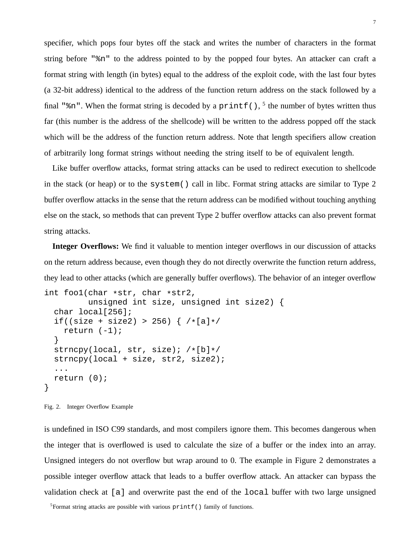specifier, which pops four bytes off the stack and writes the number of characters in the format string before "%n" to the address pointed to by the popped four bytes. An attacker can craft a format string with length (in bytes) equal to the address of the exploit code, with the last four bytes (a 32-bit address) identical to the address of the function return address on the stack followed by a final " $n$ ". When the format string is decoded by a printf(), <sup>5</sup> the number of bytes written thus far (this number is the address of the shellcode) will be written to the address popped off the stack which will be the address of the function return address. Note that length specifiers allow creation of arbitrarily long format strings without needing the string itself to be of equivalent length.

Like buffer overflow attacks, format string attacks can be used to redirect execution to shellcode in the stack (or heap) or to the system() call in libc. Format string attacks are similar to Type 2 buffer overflow attacks in the sense that the return address can be modified without touching anything else on the stack, so methods that can prevent Type 2 buffer overflow attacks can also prevent format string attacks.

**Integer Overflows:** We find it valuable to mention integer overflows in our discussion of attacks on the return address because, even though they do not directly overwrite the function return address, they lead to other attacks (which are generally buffer overflows). The behavior of an integer overflow

```
int foo1(char *str, char *str2,
         unsigned int size, unsigned int size2) {
 char local[256];
  if((size + size2) > 256) { /*[a]*/return (-1);
  }
 strncpy(local, str, size); /*[b]*/
 strncpy(local + size, str2, size2);
  ...
 return (0);
}
```
is undefined in ISO C99 standards, and most compilers ignore them. This becomes dangerous when the integer that is overflowed is used to calculate the size of a buffer or the index into an array. Unsigned integers do not overflow but wrap around to 0. The example in Figure 2 demonstrates a possible integer overflow attack that leads to a buffer overflow attack. An attacker can bypass the validation check at [a] and overwrite past the end of the local buffer with two large unsigned

<sup>5</sup>Format string attacks are possible with various printf() family of functions.

Fig. 2. Integer Overflow Example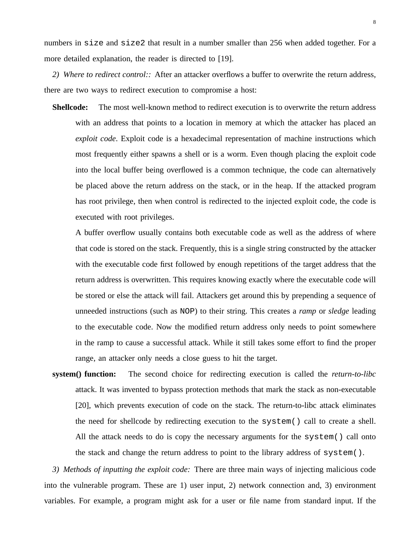numbers in size and size2 that result in a number smaller than 256 when added together. For a more detailed explanation, the reader is directed to [19].

*2) Where to redirect control::* After an attacker overflows a buffer to overwrite the return address, there are two ways to redirect execution to compromise a host:

**Shellcode:** The most well-known method to redirect execution is to overwrite the return address with an address that points to a location in memory at which the attacker has placed an *exploit code*. Exploit code is a hexadecimal representation of machine instructions which most frequently either spawns a shell or is a worm. Even though placing the exploit code into the local buffer being overflowed is a common technique, the code can alternatively be placed above the return address on the stack, or in the heap. If the attacked program has root privilege, then when control is redirected to the injected exploit code, the code is executed with root privileges.

A buffer overflow usually contains both executable code as well as the address of where that code is stored on the stack. Frequently, this is a single string constructed by the attacker with the executable code first followed by enough repetitions of the target address that the return address is overwritten. This requires knowing exactly where the executable code will be stored or else the attack will fail. Attackers get around this by prepending a sequence of unneeded instructions (such as NOP) to their string. This creates a *ramp* or *sledge* leading to the executable code. Now the modified return address only needs to point somewhere in the ramp to cause a successful attack. While it still takes some effort to find the proper range, an attacker only needs a close guess to hit the target.

**system() function:** The second choice for redirecting execution is called the *return-to-libc* attack. It was invented to bypass protection methods that mark the stack as non-executable [20], which prevents execution of code on the stack. The return-to-libc attack eliminates the need for shellcode by redirecting execution to the system() call to create a shell. All the attack needs to do is copy the necessary arguments for the system() call onto the stack and change the return address to point to the library address of system().

*3) Methods of inputting the exploit code:* There are three main ways of injecting malicious code into the vulnerable program. These are 1) user input, 2) network connection and, 3) environment variables. For example, a program might ask for a user or file name from standard input. If the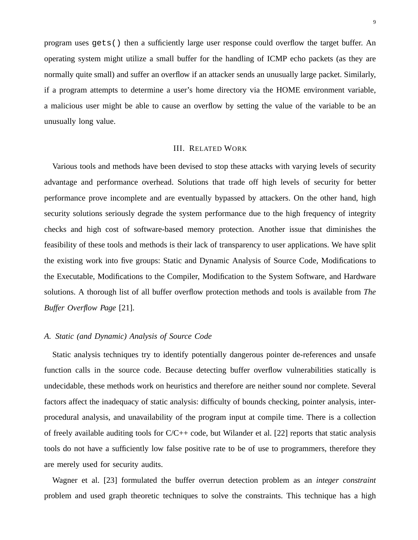program uses gets() then a sufficiently large user response could overflow the target buffer. An operating system might utilize a small buffer for the handling of ICMP echo packets (as they are normally quite small) and suffer an overflow if an attacker sends an unusually large packet. Similarly, if a program attempts to determine a user's home directory via the HOME environment variable, a malicious user might be able to cause an overflow by setting the value of the variable to be an unusually long value.

#### III. RELATED WORK

Various tools and methods have been devised to stop these attacks with varying levels of security advantage and performance overhead. Solutions that trade off high levels of security for better performance prove incomplete and are eventually bypassed by attackers. On the other hand, high security solutions seriously degrade the system performance due to the high frequency of integrity checks and high cost of software-based memory protection. Another issue that diminishes the feasibility of these tools and methods is their lack of transparency to user applications. We have split the existing work into five groups: Static and Dynamic Analysis of Source Code, Modifications to the Executable, Modifications to the Compiler, Modification to the System Software, and Hardware solutions. A thorough list of all buffer overflow protection methods and tools is available from *The Buffer Overflow Page* [21].

#### *A. Static (and Dynamic) Analysis of Source Code*

Static analysis techniques try to identify potentially dangerous pointer de-references and unsafe function calls in the source code. Because detecting buffer overflow vulnerabilities statically is undecidable, these methods work on heuristics and therefore are neither sound nor complete. Several factors affect the inadequacy of static analysis: difficulty of bounds checking, pointer analysis, interprocedural analysis, and unavailability of the program input at compile time. There is a collection of freely available auditing tools for  $C/C++$  code, but Wilander et al. [22] reports that static analysis tools do not have a sufficiently low false positive rate to be of use to programmers, therefore they are merely used for security audits.

Wagner et al. [23] formulated the buffer overrun detection problem as an *integer constraint* problem and used graph theoretic techniques to solve the constraints. This technique has a high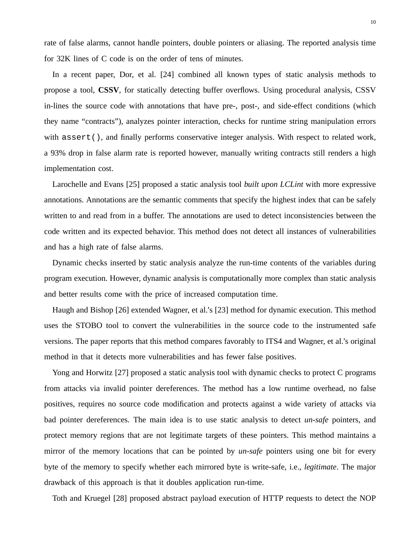rate of false alarms, cannot handle pointers, double pointers or aliasing. The reported analysis time for 32K lines of C code is on the order of tens of minutes.

In a recent paper, Dor, et al. [24] combined all known types of static analysis methods to propose a tool, **CSSV**, for statically detecting buffer overflows. Using procedural analysis, CSSV in-lines the source code with annotations that have pre-, post-, and side-effect conditions (which they name "contracts"), analyzes pointer interaction, checks for runtime string manipulation errors with assert(), and finally performs conservative integer analysis. With respect to related work, a 93% drop in false alarm rate is reported however, manually writing contracts still renders a high implementation cost.

Larochelle and Evans [25] proposed a static analysis tool *built upon LCLint* with more expressive annotations. Annotations are the semantic comments that specify the highest index that can be safely written to and read from in a buffer. The annotations are used to detect inconsistencies between the code written and its expected behavior. This method does not detect all instances of vulnerabilities and has a high rate of false alarms.

Dynamic checks inserted by static analysis analyze the run-time contents of the variables during program execution. However, dynamic analysis is computationally more complex than static analysis and better results come with the price of increased computation time.

Haugh and Bishop [26] extended Wagner, et al.'s [23] method for dynamic execution. This method uses the STOBO tool to convert the vulnerabilities in the source code to the instrumented safe versions. The paper reports that this method compares favorably to ITS4 and Wagner, et al.'s original method in that it detects more vulnerabilities and has fewer false positives.

Yong and Horwitz [27] proposed a static analysis tool with dynamic checks to protect C programs from attacks via invalid pointer dereferences. The method has a low runtime overhead, no false positives, requires no source code modification and protects against a wide variety of attacks via bad pointer dereferences. The main idea is to use static analysis to detect *un-safe* pointers, and protect memory regions that are not legitimate targets of these pointers. This method maintains a mirror of the memory locations that can be pointed by *un-safe* pointers using one bit for every byte of the memory to specify whether each mirrored byte is write-safe, i.e., *legitimate*. The major drawback of this approach is that it doubles application run-time.

Toth and Kruegel [28] proposed abstract payload execution of HTTP requests to detect the NOP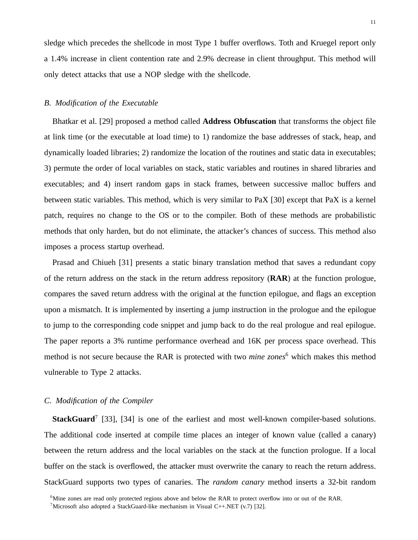sledge which precedes the shellcode in most Type 1 buffer overflows. Toth and Kruegel report only a 1.4% increase in client contention rate and 2.9% decrease in client throughput. This method will only detect attacks that use a NOP sledge with the shellcode.

#### *B. Modification of the Executable*

Bhatkar et al. [29] proposed a method called **Address Obfuscation** that transforms the object file at link time (or the executable at load time) to 1) randomize the base addresses of stack, heap, and dynamically loaded libraries; 2) randomize the location of the routines and static data in executables; 3) permute the order of local variables on stack, static variables and routines in shared libraries and executables; and 4) insert random gaps in stack frames, between successive malloc buffers and between static variables. This method, which is very similar to PaX [30] except that PaX is a kernel patch, requires no change to the OS or to the compiler. Both of these methods are probabilistic methods that only harden, but do not eliminate, the attacker's chances of success. This method also imposes a process startup overhead.

Prasad and Chiueh [31] presents a static binary translation method that saves a redundant copy of the return address on the stack in the return address repository (**RAR**) at the function prologue, compares the saved return address with the original at the function epilogue, and flags an exception upon a mismatch. It is implemented by inserting a jump instruction in the prologue and the epilogue to jump to the corresponding code snippet and jump back to do the real prologue and real epilogue. The paper reports a 3% runtime performance overhead and 16K per process space overhead. This method is not secure because the RAR is protected with two *mine zones*<sup>6</sup> which makes this method vulnerable to Type 2 attacks.

# *C. Modification of the Compiler*

StackGuard<sup>7</sup> [33], [34] is one of the earliest and most well-known compiler-based solutions. The additional code inserted at compile time places an integer of known value (called a canary) between the return address and the local variables on the stack at the function prologue. If a local buffer on the stack is overflowed, the attacker must overwrite the canary to reach the return address. StackGuard supports two types of canaries. The *random canary* method inserts a 32-bit random

<sup>&</sup>lt;sup>6</sup>Mine zones are read only protected regions above and below the RAR to protect overflow into or out of the RAR.

<sup>&</sup>lt;sup>7</sup>Microsoft also adopted a StackGuard-like mechanism in Visual C++.NET (v.7) [32].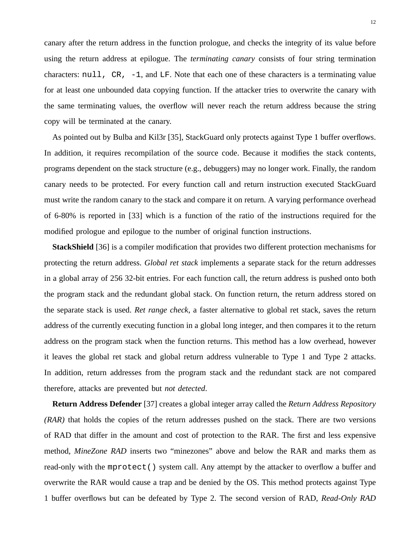canary after the return address in the function prologue, and checks the integrity of its value before using the return address at epilogue. The *terminating canary* consists of four string termination characters:  $null, CR, -1, and LF. Note that each one of these characters is a terminating value$ for at least one unbounded data copying function. If the attacker tries to overwrite the canary with the same terminating values, the overflow will never reach the return address because the string copy will be terminated at the canary.

As pointed out by Bulba and Kil3r [35], StackGuard only protects against Type 1 buffer overflows. In addition, it requires recompilation of the source code. Because it modifies the stack contents, programs dependent on the stack structure (e.g., debuggers) may no longer work. Finally, the random canary needs to be protected. For every function call and return instruction executed StackGuard must write the random canary to the stack and compare it on return. A varying performance overhead of 6-80% is reported in [33] which is a function of the ratio of the instructions required for the modified prologue and epilogue to the number of original function instructions.

**StackShield** [36] is a compiler modification that provides two different protection mechanisms for protecting the return address. *Global ret stack* implements a separate stack for the return addresses in a global array of 256 32-bit entries. For each function call, the return address is pushed onto both the program stack and the redundant global stack. On function return, the return address stored on the separate stack is used. *Ret range check*, a faster alternative to global ret stack, saves the return address of the currently executing function in a global long integer, and then compares it to the return address on the program stack when the function returns. This method has a low overhead, however it leaves the global ret stack and global return address vulnerable to Type 1 and Type 2 attacks. In addition, return addresses from the program stack and the redundant stack are not compared therefore, attacks are prevented but *not detected*.

**Return Address Defender** [37] creates a global integer array called the *Return Address Repository (RAR)* that holds the copies of the return addresses pushed on the stack. There are two versions of RAD that differ in the amount and cost of protection to the RAR. The first and less expensive method, *MineZone RAD* inserts two "minezones" above and below the RAR and marks them as read-only with the mprotect() system call. Any attempt by the attacker to overflow a buffer and overwrite the RAR would cause a trap and be denied by the OS. This method protects against Type 1 buffer overflows but can be defeated by Type 2. The second version of RAD, *Read-Only RAD*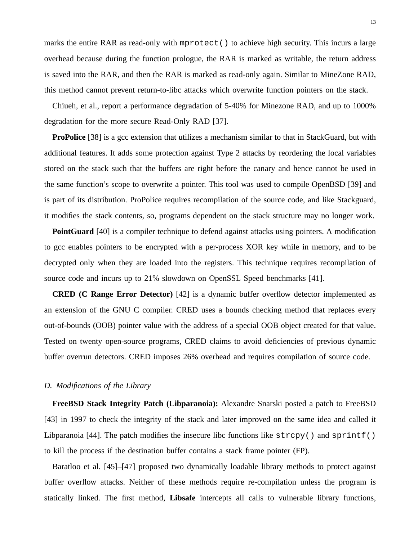marks the entire RAR as read-only with mprotect() to achieve high security. This incurs a large overhead because during the function prologue, the RAR is marked as writable, the return address is saved into the RAR, and then the RAR is marked as read-only again. Similar to MineZone RAD, this method cannot prevent return-to-libc attacks which overwrite function pointers on the stack.

Chiueh, et al., report a performance degradation of 5-40% for Minezone RAD, and up to 1000% degradation for the more secure Read-Only RAD [37].

**ProPolice** [38] is a gcc extension that utilizes a mechanism similar to that in StackGuard, but with additional features. It adds some protection against Type 2 attacks by reordering the local variables stored on the stack such that the buffers are right before the canary and hence cannot be used in the same function's scope to overwrite a pointer. This tool was used to compile OpenBSD [39] and is part of its distribution. ProPolice requires recompilation of the source code, and like Stackguard, it modifies the stack contents, so, programs dependent on the stack structure may no longer work.

**PointGuard** [40] is a compiler technique to defend against attacks using pointers. A modification to gcc enables pointers to be encrypted with a per-process XOR key while in memory, and to be decrypted only when they are loaded into the registers. This technique requires recompilation of source code and incurs up to 21% slowdown on OpenSSL Speed benchmarks [41].

**CRED (C Range Error Detector)** [42] is a dynamic buffer overflow detector implemented as an extension of the GNU C compiler. CRED uses a bounds checking method that replaces every out-of-bounds (OOB) pointer value with the address of a special OOB object created for that value. Tested on twenty open-source programs, CRED claims to avoid deficiencies of previous dynamic buffer overrun detectors. CRED imposes 26% overhead and requires compilation of source code.

#### *D. Modifications of the Library*

**FreeBSD Stack Integrity Patch (Libparanoia):** Alexandre Snarski posted a patch to FreeBSD [43] in 1997 to check the integrity of the stack and later improved on the same idea and called it Libparanoia [44]. The patch modifies the insecure libc functions like  $\text{stropy}(\cdot)$  and  $\text{sprintf}(\cdot)$ to kill the process if the destination buffer contains a stack frame pointer (FP).

Baratloo et al. [45]–[47] proposed two dynamically loadable library methods to protect against buffer overflow attacks. Neither of these methods require re-compilation unless the program is statically linked. The first method, **Libsafe** intercepts all calls to vulnerable library functions,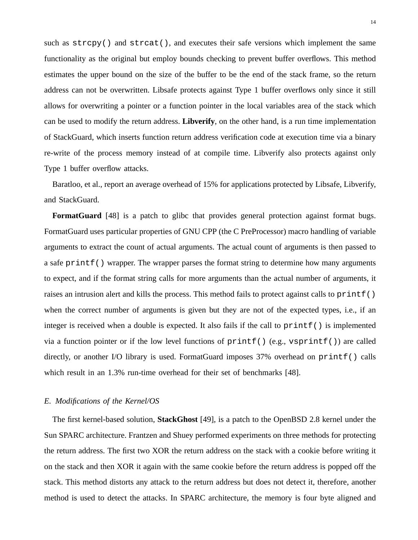such as strcpy() and strcat(), and executes their safe versions which implement the same functionality as the original but employ bounds checking to prevent buffer overflows. This method estimates the upper bound on the size of the buffer to be the end of the stack frame, so the return address can not be overwritten. Libsafe protects against Type 1 buffer overflows only since it still allows for overwriting a pointer or a function pointer in the local variables area of the stack which can be used to modify the return address. **Libverify**, on the other hand, is a run time implementation of StackGuard, which inserts function return address verification code at execution time via a binary re-write of the process memory instead of at compile time. Libverify also protects against only Type 1 buffer overflow attacks.

Baratloo, et al., report an average overhead of 15% for applications protected by Libsafe, Libverify, and StackGuard.

**FormatGuard** [48] is a patch to glibc that provides general protection against format bugs. FormatGuard uses particular properties of GNU CPP (the C PreProcessor) macro handling of variable arguments to extract the count of actual arguments. The actual count of arguments is then passed to a safe printf() wrapper. The wrapper parses the format string to determine how many arguments to expect, and if the format string calls for more arguments than the actual number of arguments, it raises an intrusion alert and kills the process. This method fails to protect against calls to printf() when the correct number of arguments is given but they are not of the expected types, i.e., if an integer is received when a double is expected. It also fails if the call to printf() is implemented via a function pointer or if the low level functions of  $print()$  (e.g., vsprintf()) are called directly, or another I/O library is used. FormatGuard imposes 37% overhead on printf() calls which result in an 1.3% run-time overhead for their set of benchmarks [48].

#### *E. Modifications of the Kernel/OS*

The first kernel-based solution, **StackGhost** [49], is a patch to the OpenBSD 2.8 kernel under the Sun SPARC architecture. Frantzen and Shuey performed experiments on three methods for protecting the return address. The first two XOR the return address on the stack with a cookie before writing it on the stack and then XOR it again with the same cookie before the return address is popped off the stack. This method distorts any attack to the return address but does not detect it, therefore, another method is used to detect the attacks. In SPARC architecture, the memory is four byte aligned and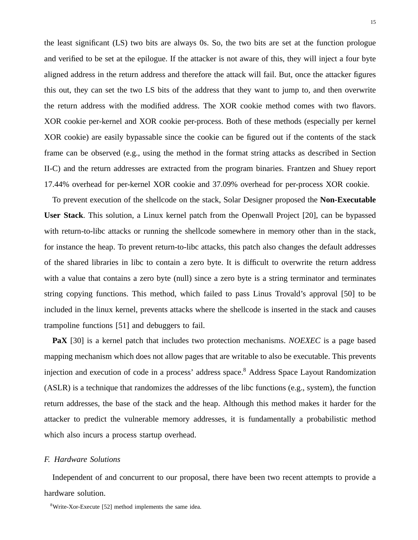the least significant (LS) two bits are always 0s. So, the two bits are set at the function prologue and verified to be set at the epilogue. If the attacker is not aware of this, they will inject a four byte aligned address in the return address and therefore the attack will fail. But, once the attacker figures this out, they can set the two LS bits of the address that they want to jump to, and then overwrite the return address with the modified address. The XOR cookie method comes with two flavors. XOR cookie per-kernel and XOR cookie per-process. Both of these methods (especially per kernel XOR cookie) are easily bypassable since the cookie can be figured out if the contents of the stack frame can be observed (e.g., using the method in the format string attacks as described in Section II-C) and the return addresses are extracted from the program binaries. Frantzen and Shuey report 17.44% overhead for per-kernel XOR cookie and 37.09% overhead for per-process XOR cookie.

To prevent execution of the shellcode on the stack, Solar Designer proposed the **Non-Executable User Stack**. This solution, a Linux kernel patch from the Openwall Project [20], can be bypassed with return-to-libc attacks or running the shellcode somewhere in memory other than in the stack, for instance the heap. To prevent return-to-libc attacks, this patch also changes the default addresses of the shared libraries in libc to contain a zero byte. It is difficult to overwrite the return address with a value that contains a zero byte (null) since a zero byte is a string terminator and terminates string copying functions. This method, which failed to pass Linus Trovald's approval [50] to be included in the linux kernel, prevents attacks where the shellcode is inserted in the stack and causes trampoline functions [51] and debuggers to fail.

**PaX** [30] is a kernel patch that includes two protection mechanisms. *NOEXEC* is a page based mapping mechanism which does not allow pages that are writable to also be executable. This prevents injection and execution of code in a process' address space.<sup>8</sup> Address Space Layout Randomization (ASLR) is a technique that randomizes the addresses of the libc functions (e.g., system), the function return addresses, the base of the stack and the heap. Although this method makes it harder for the attacker to predict the vulnerable memory addresses, it is fundamentally a probabilistic method which also incurs a process startup overhead.

#### *F. Hardware Solutions*

Independent of and concurrent to our proposal, there have been two recent attempts to provide a hardware solution.

<sup>8</sup>Write-Xor-Execute [52] method implements the same idea.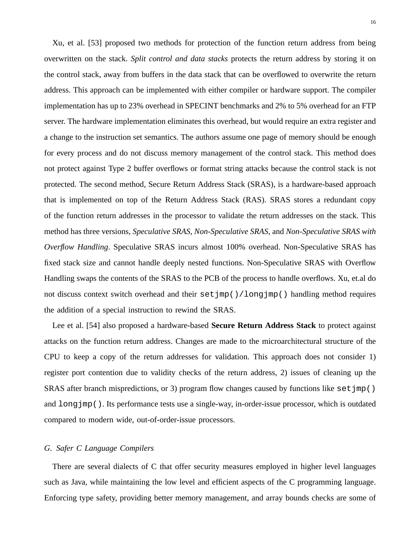Xu, et al. [53] proposed two methods for protection of the function return address from being overwritten on the stack. *Split control and data stacks* protects the return address by storing it on the control stack, away from buffers in the data stack that can be overflowed to overwrite the return address. This approach can be implemented with either compiler or hardware support. The compiler implementation has up to 23% overhead in SPECINT benchmarks and 2% to 5% overhead for an FTP server. The hardware implementation eliminates this overhead, but would require an extra register and a change to the instruction set semantics. The authors assume one page of memory should be enough for every process and do not discuss memory management of the control stack. This method does not protect against Type 2 buffer overflows or format string attacks because the control stack is not protected. The second method, Secure Return Address Stack (SRAS), is a hardware-based approach that is implemented on top of the Return Address Stack (RAS). SRAS stores a redundant copy of the function return addresses in the processor to validate the return addresses on the stack. This method has three versions, *Speculative SRAS*, *Non-Speculative SRAS*, and *Non-Speculative SRAS with Overflow Handling*. Speculative SRAS incurs almost 100% overhead. Non-Speculative SRAS has fixed stack size and cannot handle deeply nested functions. Non-Speculative SRAS with Overflow Handling swaps the contents of the SRAS to the PCB of the process to handle overflows. Xu, et.al do not discuss context switch overhead and their set  $\text{imp}(t)/\text{longimp}(t)$  handling method requires the addition of a special instruction to rewind the SRAS.

Lee et al. [54] also proposed a hardware-based **Secure Return Address Stack** to protect against attacks on the function return address. Changes are made to the microarchitectural structure of the CPU to keep a copy of the return addresses for validation. This approach does not consider 1) register port contention due to validity checks of the return address, 2) issues of cleaning up the SRAS after branch mispredictions, or 3) program flow changes caused by functions like set  $\text{imp}(\cdot)$ and longjmp(). Its performance tests use a single-way, in-order-issue processor, which is outdated compared to modern wide, out-of-order-issue processors.

#### *G. Safer C Language Compilers*

There are several dialects of C that offer security measures employed in higher level languages such as Java, while maintaining the low level and efficient aspects of the C programming language. Enforcing type safety, providing better memory management, and array bounds checks are some of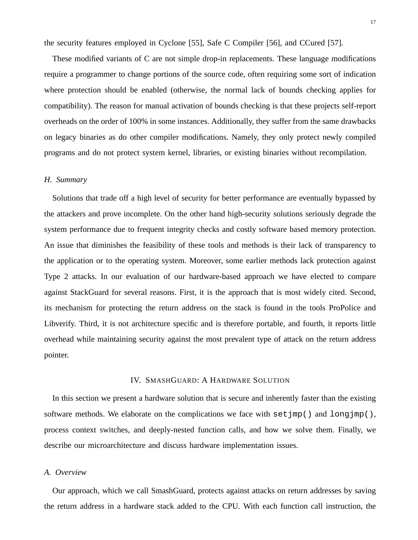the security features employed in Cyclone [55], Safe C Compiler [56], and CCured [57].

These modified variants of C are not simple drop-in replacements. These language modifications require a programmer to change portions of the source code, often requiring some sort of indication where protection should be enabled (otherwise, the normal lack of bounds checking applies for compatibility). The reason for manual activation of bounds checking is that these projects self-report overheads on the order of 100% in some instances. Additionally, they suffer from the same drawbacks on legacy binaries as do other compiler modifications. Namely, they only protect newly compiled programs and do not protect system kernel, libraries, or existing binaries without recompilation.

#### *H. Summary*

Solutions that trade off a high level of security for better performance are eventually bypassed by the attackers and prove incomplete. On the other hand high-security solutions seriously degrade the system performance due to frequent integrity checks and costly software based memory protection. An issue that diminishes the feasibility of these tools and methods is their lack of transparency to the application or to the operating system. Moreover, some earlier methods lack protection against Type 2 attacks. In our evaluation of our hardware-based approach we have elected to compare against StackGuard for several reasons. First, it is the approach that is most widely cited. Second, its mechanism for protecting the return address on the stack is found in the tools ProPolice and Libverify. Third, it is not architecture specific and is therefore portable, and fourth, it reports little overhead while maintaining security against the most prevalent type of attack on the return address pointer.

#### IV. SMASHGUARD: A HARDWARE SOLUTION

In this section we present a hardware solution that is secure and inherently faster than the existing software methods. We elaborate on the complications we face with  $set_jmp()$  and long $jmp()$ , process context switches, and deeply-nested function calls, and how we solve them. Finally, we describe our microarchitecture and discuss hardware implementation issues.

# *A. Overview*

Our approach, which we call SmashGuard, protects against attacks on return addresses by saving the return address in a hardware stack added to the CPU. With each function call instruction, the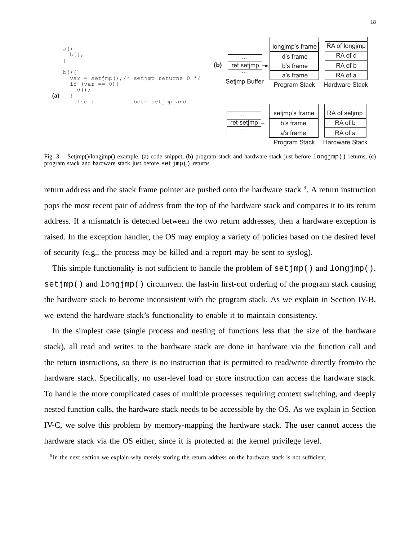|     | $a() { }$<br>$b\{\}\$<br>b()<br>var = setjmp();/* setjmp returns $0$ */ |                 | (b) | $\cdots$<br>ret setjmp $\mapsto$<br>$\cdots$ | longjmp's frame<br>d's frame<br>b's frame<br>a's frame | RA of long mp<br>RA of d<br>RA of b<br>RA of a |
|-----|-------------------------------------------------------------------------|-----------------|-----|----------------------------------------------|--------------------------------------------------------|------------------------------------------------|
| (a) | if $(var == 0)$ {<br>$d()$ ;<br>else f                                  | both setimp and |     | Setjmp Buffer                                | Program Stack                                          | <b>Hardware Stack</b>                          |
|     |                                                                         |                 |     | $\cdots$<br>ret setjmp<br>$\cdots$           | setjmp's frame<br>b's frame<br>a's frame               | RA of setjmp<br>RA of b<br>RA of a             |
|     |                                                                         |                 |     |                                              | Program Stack                                          | <b>Hardware Stack</b>                          |

Fig. 3. Setjmp()/longjmp() example. (a) code snippet, (b) program stack and hardware stack just before long jmp() returns, (c) program stack and hardware stack just before setjmp() returns

return address and the stack frame pointer are pushed onto the hardware stack <sup>9</sup>. A return instruction pops the most recent pair of address from the top of the hardware stack and compares it to its return address. If a mismatch is detected between the two return addresses, then a hardware exception is raised. In the exception handler, the OS may employ a variety of policies based on the desired level of security (e.g., the process may be killed and a report may be sent to syslog).

This simple functionality is not sufficient to handle the problem of set  $\text{imp}($ ) and long  $\text{imp}()$ . set jmp() and long jmp() circumvent the last-in first-out ordering of the program stack causing the hardware stack to become inconsistent with the program stack. As we explain in Section IV-B, we extend the hardware stack's functionality to enable it to maintain consistency.

In the simplest case (single process and nesting of functions less that the size of the hardware stack), all read and writes to the hardware stack are done in hardware via the function call and the return instructions, so there is no instruction that is permitted to read/write directly from/to the hardware stack. Specifically, no user-level load or store instruction can access the hardware stack. To handle the more complicated cases of multiple processes requiring context switching, and deeply nested function calls, the hardware stack needs to be accessible by the OS. As we explain in Section IV-C, we solve this problem by memory-mapping the hardware stack. The user cannot access the hardware stack via the OS either, since it is protected at the kernel privilege level.

<sup>9</sup>In the next section we explain why merely storing the return address on the hardware stack is not sufficient.

 $\mathbf{I}$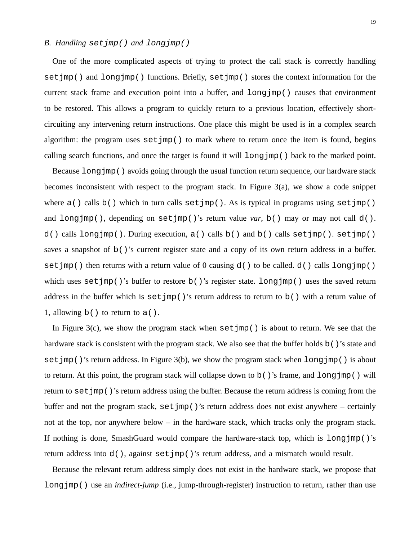#### *B. Handling* setjmp() *and* longjmp()

One of the more complicated aspects of trying to protect the call stack is correctly handling setjmp() and longjmp() functions. Briefly, setjmp() stores the context information for the current stack frame and execution point into a buffer, and longjmp() causes that environment to be restored. This allows a program to quickly return to a previous location, effectively shortcircuiting any intervening return instructions. One place this might be used is in a complex search algorithm: the program uses setjmp() to mark where to return once the item is found, begins calling search functions, and once the target is found it will longjmp() back to the marked point.

Because longjmp() avoids going through the usual function return sequence, our hardware stack becomes inconsistent with respect to the program stack. In Figure 3(a), we show a code snippet where  $a()$  calls  $b()$  which in turn calls  $set_jmp()$ . As is typical in programs using  $set_jmp()$ and longjmp(), depending on setjmp()'s return value *var*, b() may or may not call d(). d() calls long $\text{imp}(\cdot)$ . During execution,  $a(\cdot)$  calls b() and b() calls set  $\text{imp}(\cdot)$ . set  $\text{imp}(\cdot)$ saves a snapshot of b()'s current register state and a copy of its own return address in a buffer. setjmp() then returns with a return value of 0 causing  $d()$  to be called.  $d()$  calls longjmp() which uses setjmp()'s buffer to restore b()'s register state. longjmp() uses the saved return address in the buffer which is  $\text{set}$  jmp()'s return address to return to b() with a return value of 1, allowing  $b()$  to return to  $a()$ .

In Figure 3(c), we show the program stack when  $\text{set}$  jmp() is about to return. We see that the hardware stack is consistent with the program stack. We also see that the buffer holds b()'s state and set  $\text{imp}($ )'s return address. In Figure 3(b), we show the program stack when long  $\text{imp}($ ) is about to return. At this point, the program stack will collapse down to  $b()$ 's frame, and long jmp() will return to set jmp()'s return address using the buffer. Because the return address is coming from the buffer and not the program stack,  $\text{set}$ ;  $\text{p}$  ()'s return address does not exist anywhere – certainly not at the top, nor anywhere below – in the hardware stack, which tracks only the program stack. If nothing is done, SmashGuard would compare the hardware-stack top, which is longjmp()'s return address into d(), against set  $\text{imp}($ )'s return address, and a mismatch would result.

Because the relevant return address simply does not exist in the hardware stack, we propose that long jmp() use an *indirect-jump* (i.e., jump-through-register) instruction to return, rather than use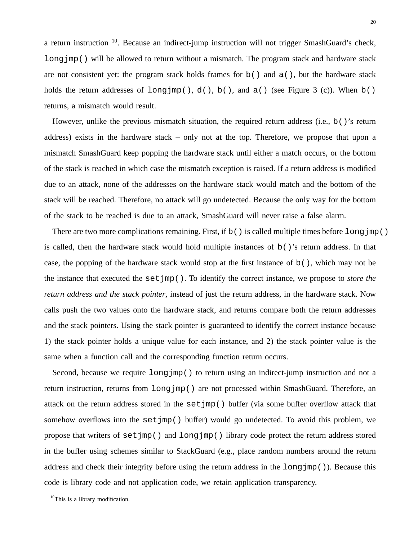a return instruction  $10$ . Because an indirect-jump instruction will not trigger SmashGuard's check, long  $\gamma$  will be allowed to return without a mismatch. The program stack and hardware stack are not consistent yet: the program stack holds frames for b() and a(), but the hardware stack holds the return addresses of longjmp(),  $d($ ),  $b($ ), and  $a($ ) (see Figure 3 (c)). When  $b($ ) returns, a mismatch would result.

However, unlike the previous mismatch situation, the required return address (i.e., b()'s return address) exists in the hardware stack – only not at the top. Therefore, we propose that upon a mismatch SmashGuard keep popping the hardware stack until either a match occurs, or the bottom of the stack is reached in which case the mismatch exception is raised. If a return address is modified due to an attack, none of the addresses on the hardware stack would match and the bottom of the stack will be reached. Therefore, no attack will go undetected. Because the only way for the bottom of the stack to be reached is due to an attack, SmashGuard will never raise a false alarm.

There are two more complications remaining. First, if  $b()$  is called multiple times before long  $\gamma$ mp() is called, then the hardware stack would hold multiple instances of b()'s return address. In that case, the popping of the hardware stack would stop at the first instance of  $b()$ , which may not be the instance that executed the setjmp(). To identify the correct instance, we propose to *store the return address and the stack pointer*, instead of just the return address, in the hardware stack. Now calls push the two values onto the hardware stack, and returns compare both the return addresses and the stack pointers. Using the stack pointer is guaranteed to identify the correct instance because 1) the stack pointer holds a unique value for each instance, and 2) the stack pointer value is the same when a function call and the corresponding function return occurs.

Second, because we require longjmp() to return using an indirect-jump instruction and not a return instruction, returns from long  $\text{imp}(\cdot)$  are not processed within SmashGuard. Therefore, an attack on the return address stored in the setjmp() buffer (via some buffer overflow attack that somehow overflows into the set jmp() buffer) would go undetected. To avoid this problem, we propose that writers of setjmp() and longjmp() library code protect the return address stored in the buffer using schemes similar to StackGuard (e.g., place random numbers around the return address and check their integrity before using the return address in the longjmp()). Because this code is library code and not application code, we retain application transparency.

<sup>10</sup>This is a library modification.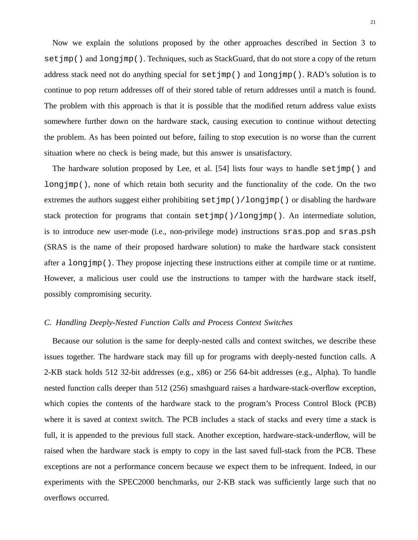Now we explain the solutions proposed by the other approaches described in Section 3 to set jmp() and long jmp(). Techniques, such as StackGuard, that do not store a copy of the return address stack need not do anything special for setjmp() and longjmp(). RAD's solution is to continue to pop return addresses off of their stored table of return addresses until a match is found. The problem with this approach is that it is possible that the modified return address value exists somewhere further down on the hardware stack, causing execution to continue without detecting the problem. As has been pointed out before, failing to stop execution is no worse than the current situation where no check is being made, but this answer is unsatisfactory.

The hardware solution proposed by Lee, et al. [54] lists four ways to handle setjmp() and longjmp(), none of which retain both security and the functionality of the code. On the two extremes the authors suggest either prohibiting set  $\text{imp}(t)/\text{longimp}(t)$  or disabling the hardware stack protection for programs that contain  $\text{setimp}()/\text{longimp}()$ . An intermediate solution, is to introduce new user-mode (i.e., non-privilege mode) instructions sras pop and sras psh (SRAS is the name of their proposed hardware solution) to make the hardware stack consistent after a longjmp(). They propose injecting these instructions either at compile time or at runtime. However, a malicious user could use the instructions to tamper with the hardware stack itself, possibly compromising security.

# *C. Handling Deeply-Nested Function Calls and Process Context Switches*

Because our solution is the same for deeply-nested calls and context switches, we describe these issues together. The hardware stack may fill up for programs with deeply-nested function calls. A 2-KB stack holds 512 32-bit addresses (e.g., x86) or 256 64-bit addresses (e.g., Alpha). To handle nested function calls deeper than 512 (256) smashguard raises a hardware-stack-overflow exception, which copies the contents of the hardware stack to the program's Process Control Block (PCB) where it is saved at context switch. The PCB includes a stack of stacks and every time a stack is full, it is appended to the previous full stack. Another exception, hardware-stack-underflow, will be raised when the hardware stack is empty to copy in the last saved full-stack from the PCB. These exceptions are not a performance concern because we expect them to be infrequent. Indeed, in our experiments with the SPEC2000 benchmarks, our 2-KB stack was sufficiently large such that no overflows occurred.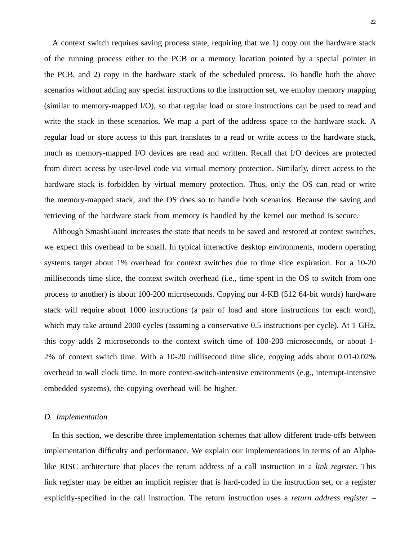A context switch requires saving process state, requiring that we 1) copy out the hardware stack of the running process either to the PCB or a memory location pointed by a special pointer in the PCB, and 2) copy in the hardware stack of the scheduled process. To handle both the above scenarios without adding any special instructions to the instruction set, we employ memory mapping (similar to memory-mapped I/O), so that regular load or store instructions can be used to read and write the stack in these scenarios. We map a part of the address space to the hardware stack. A regular load or store access to this part translates to a read or write access to the hardware stack, much as memory-mapped I/O devices are read and written. Recall that I/O devices are protected from direct access by user-level code via virtual memory protection. Similarly, direct access to the hardware stack is forbidden by virtual memory protection. Thus, only the OS can read or write the memory-mapped stack, and the OS does so to handle both scenarios. Because the saving and retrieving of the hardware stack from memory is handled by the kernel our method is secure.

Although SmashGuard increases the state that needs to be saved and restored at context switches, we expect this overhead to be small. In typical interactive desktop environments, modern operating systems target about 1% overhead for context switches due to time slice expiration. For a 10-20 milliseconds time slice, the context switch overhead (i.e., time spent in the OS to switch from one process to another) is about 100-200 microseconds. Copying our 4-KB (512 64-bit words) hardware stack will require about 1000 instructions (a pair of load and store instructions for each word), which may take around 2000 cycles (assuming a conservative 0.5 instructions per cycle). At 1 GHz, this copy adds 2 microseconds to the context switch time of 100-200 microseconds, or about 1- 2% of context switch time. With a 10-20 millisecond time slice, copying adds about 0.01-0.02% overhead to wall clock time. In more context-switch-intensive environments (e.g., interrupt-intensive embedded systems), the copying overhead will be higher.

#### *D. Implementation*

In this section, we describe three implementation schemes that allow different trade-offs between implementation difficulty and performance. We explain our implementations in terms of an Alphalike RISC architecture that places the return address of a call instruction in a *link register*. This link register may be either an implicit register that is hard-coded in the instruction set, or a register explicitly-specified in the call instruction. The return instruction uses a *return address register* –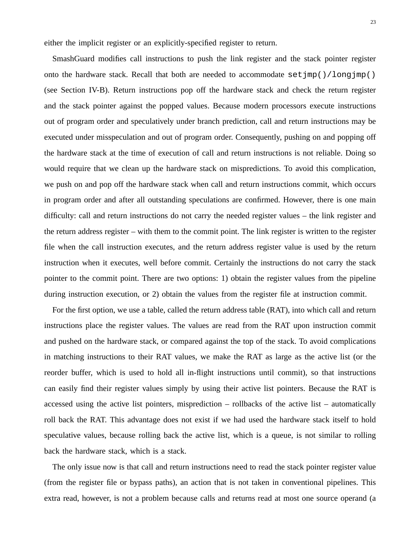either the implicit register or an explicitly-specified register to return.

SmashGuard modifies call instructions to push the link register and the stack pointer register onto the hardware stack. Recall that both are needed to accommodate setjmp()/longjmp() (see Section IV-B). Return instructions pop off the hardware stack and check the return register and the stack pointer against the popped values. Because modern processors execute instructions out of program order and speculatively under branch prediction, call and return instructions may be executed under misspeculation and out of program order. Consequently, pushing on and popping off the hardware stack at the time of execution of call and return instructions is not reliable. Doing so would require that we clean up the hardware stack on mispredictions. To avoid this complication, we push on and pop off the hardware stack when call and return instructions commit, which occurs in program order and after all outstanding speculations are confirmed. However, there is one main difficulty: call and return instructions do not carry the needed register values – the link register and the return address register – with them to the commit point. The link register is written to the register file when the call instruction executes, and the return address register value is used by the return instruction when it executes, well before commit. Certainly the instructions do not carry the stack pointer to the commit point. There are two options: 1) obtain the register values from the pipeline during instruction execution, or 2) obtain the values from the register file at instruction commit.

For the first option, we use a table, called the return address table (RAT), into which call and return instructions place the register values. The values are read from the RAT upon instruction commit and pushed on the hardware stack, or compared against the top of the stack. To avoid complications in matching instructions to their RAT values, we make the RAT as large as the active list (or the reorder buffer, which is used to hold all in-flight instructions until commit), so that instructions can easily find their register values simply by using their active list pointers. Because the RAT is accessed using the active list pointers, misprediction – rollbacks of the active list – automatically roll back the RAT. This advantage does not exist if we had used the hardware stack itself to hold speculative values, because rolling back the active list, which is a queue, is not similar to rolling back the hardware stack, which is a stack.

The only issue now is that call and return instructions need to read the stack pointer register value (from the register file or bypass paths), an action that is not taken in conventional pipelines. This extra read, however, is not a problem because calls and returns read at most one source operand (a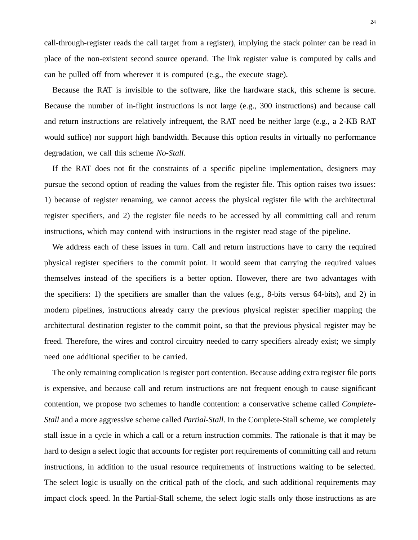call-through-register reads the call target from a register), implying the stack pointer can be read in place of the non-existent second source operand. The link register value is computed by calls and can be pulled off from wherever it is computed (e.g., the execute stage).

Because the RAT is invisible to the software, like the hardware stack, this scheme is secure. Because the number of in-flight instructions is not large (e.g., 300 instructions) and because call and return instructions are relatively infrequent, the RAT need be neither large (e.g., a 2-KB RAT would suffice) nor support high bandwidth. Because this option results in virtually no performance degradation, we call this scheme *No-Stall*.

If the RAT does not fit the constraints of a specific pipeline implementation, designers may pursue the second option of reading the values from the register file. This option raises two issues: 1) because of register renaming, we cannot access the physical register file with the architectural register specifiers, and 2) the register file needs to be accessed by all committing call and return instructions, which may contend with instructions in the register read stage of the pipeline.

We address each of these issues in turn. Call and return instructions have to carry the required physical register specifiers to the commit point. It would seem that carrying the required values themselves instead of the specifiers is a better option. However, there are two advantages with the specifiers: 1) the specifiers are smaller than the values (e.g., 8-bits versus 64-bits), and 2) in modern pipelines, instructions already carry the previous physical register specifier mapping the architectural destination register to the commit point, so that the previous physical register may be freed. Therefore, the wires and control circuitry needed to carry specifiers already exist; we simply need one additional specifier to be carried.

The only remaining complication is register port contention. Because adding extra register file ports is expensive, and because call and return instructions are not frequent enough to cause significant contention, we propose two schemes to handle contention: a conservative scheme called *Complete-Stall* and a more aggressive scheme called *Partial-Stall*. In the Complete-Stall scheme, we completely stall issue in a cycle in which a call or a return instruction commits. The rationale is that it may be hard to design a select logic that accounts for register port requirements of committing call and return instructions, in addition to the usual resource requirements of instructions waiting to be selected. The select logic is usually on the critical path of the clock, and such additional requirements may impact clock speed. In the Partial-Stall scheme, the select logic stalls only those instructions as are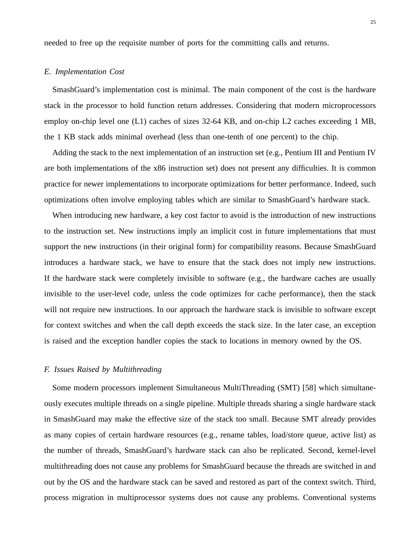needed to free up the requisite number of ports for the committing calls and returns.

# *E. Implementation Cost*

SmashGuard's implementation cost is minimal. The main component of the cost is the hardware stack in the processor to hold function return addresses. Considering that modern microprocessors employ on-chip level one (L1) caches of sizes 32-64 KB, and on-chip L2 caches exceeding 1 MB, the 1 KB stack adds minimal overhead (less than one-tenth of one percent) to the chip.

Adding the stack to the next implementation of an instruction set (e.g., Pentium III and Pentium IV are both implementations of the x86 instruction set) does not present any difficulties. It is common practice for newer implementations to incorporate optimizations for better performance. Indeed, such optimizations often involve employing tables which are similar to SmashGuard's hardware stack.

When introducing new hardware, a key cost factor to avoid is the introduction of new instructions to the instruction set. New instructions imply an implicit cost in future implementations that must support the new instructions (in their original form) for compatibility reasons. Because SmashGuard introduces a hardware stack, we have to ensure that the stack does not imply new instructions. If the hardware stack were completely invisible to software (e.g., the hardware caches are usually invisible to the user-level code, unless the code optimizes for cache performance), then the stack will not require new instructions. In our approach the hardware stack is invisible to software except for context switches and when the call depth exceeds the stack size. In the later case, an exception is raised and the exception handler copies the stack to locations in memory owned by the OS.

## *F. Issues Raised by Multithreading*

Some modern processors implement Simultaneous MultiThreading (SMT) [58] which simultaneously executes multiple threads on a single pipeline. Multiple threads sharing a single hardware stack in SmashGuard may make the effective size of the stack too small. Because SMT already provides as many copies of certain hardware resources (e.g., rename tables, load/store queue, active list) as the number of threads, SmashGuard's hardware stack can also be replicated. Second, kernel-level multithreading does not cause any problems for SmashGuard because the threads are switched in and out by the OS and the hardware stack can be saved and restored as part of the context switch. Third, process migration in multiprocessor systems does not cause any problems. Conventional systems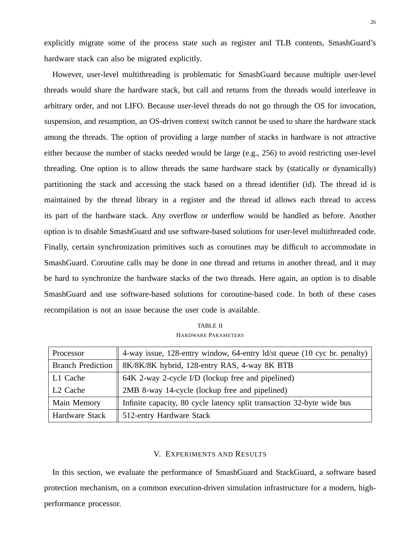explicitly migrate some of the process state such as register and TLB contents, SmashGuard's hardware stack can also be migrated explicitly.

However, user-level multithreading is problematic for SmashGuard because multiple user-level threads would share the hardware stack, but call and returns from the threads would interleave in arbitrary order, and not LIFO. Because user-level threads do not go through the OS for invocation, suspension, and resumption, an OS-driven context switch cannot be used to share the hardware stack among the threads. The option of providing a large number of stacks in hardware is not attractive either because the number of stacks needed would be large (e.g., 256) to avoid restricting user-level threading. One option is to allow threads the same hardware stack by (statically or dynamically) partitioning the stack and accessing the stack based on a thread identifier (id). The thread id is maintained by the thread library in a register and the thread id allows each thread to access its part of the hardware stack. Any overflow or underflow would be handled as before. Another option is to disable SmashGuard and use software-based solutions for user-level multithreaded code. Finally, certain synchronization primitives such as coroutines may be difficult to accommodate in SmashGuard. Coroutine calls may be done in one thread and returns in another thread, and it may be hard to synchronize the hardware stacks of the two threads. Here again, an option is to disable SmashGuard and use software-based solutions for coroutine-based code. In both of these cases recompilation is not an issue because the user code is available.

TABLE II HARDWARE PARAMETERS

| Processor                | 4-way issue, 128-entry window, 64-entry ld/st queue (10 cyc br. penalty)                            |  |  |  |  |  |  |
|--------------------------|-----------------------------------------------------------------------------------------------------|--|--|--|--|--|--|
| <b>Branch Prediction</b> | 8K/8K/8K hybrid, 128-entry RAS, 4-way 8K BTB                                                        |  |  |  |  |  |  |
| L1 Cache                 | 64K 2-way 2-cycle I/D (lockup free and pipelined)<br>2MB 8-way 14-cycle (lockup free and pipelined) |  |  |  |  |  |  |
| L <sub>2</sub> Cache     |                                                                                                     |  |  |  |  |  |  |
| Main Memory              | Infinite capacity, 80 cycle latency split transaction 32-byte wide bus                              |  |  |  |  |  |  |
| Hardware Stack           | 512-entry Hardware Stack                                                                            |  |  |  |  |  |  |

## V. EXPERIMENTS AND RESULTS

In this section, we evaluate the performance of SmashGuard and StackGuard, a software based protection mechanism, on a common execution-driven simulation infrastructure for a modern, highperformance processor.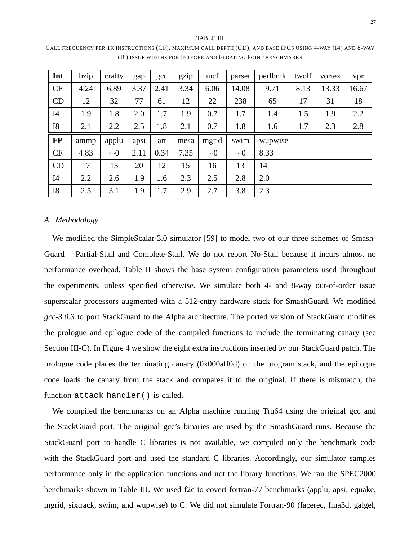#### TABLE III

| Int       | bzip | crafty      | gap  | $_{\rm gcc}$ | gzip | mcf      | parser      | perlbmk | twolf             | vortex | vpr   |  |
|-----------|------|-------------|------|--------------|------|----------|-------------|---------|-------------------|--------|-------|--|
| CF        | 4.24 | 6.89        | 3.37 | 2.41         | 3.34 | 6.06     | 14.08       | 9.71    | 8.13              | 13.33  | 16.67 |  |
| CD        | 12   | 32          | 77   | 61           | 12   | 22       | 238         | 65      | 18<br>17<br>31    |        |       |  |
| I4        | 1.9  | 1.8         | 2.0  | 1.7          | 1.9  | 0.7      | 1.7         | 1.4     | 1.5               | 1.9    | 2.2   |  |
| <b>I8</b> | 2.1  | 2.2         | 2.5  | 1.8          | 2.1  | 0.7      | 1.8         | 1.6     | 2.8<br>1.7<br>2.3 |        |       |  |
| <b>FP</b> | ammp | applu       | apsi | art          | mesa | mgrid    | swim        | wupwise |                   |        |       |  |
| <b>CF</b> | 4.83 | $\sim \! 0$ | 2.11 | 0.34         | 7.35 | $\sim 0$ | $\sim \! 0$ | 8.33    |                   |        |       |  |
| CD        | 17   | 13          | 20   | 12           | 15   | 16       | 13          | 14      |                   |        |       |  |
| I4        | 2.2  | 2.6         | 1.9  | 1.6          | 2.3  | 2.5      | 2.8         | 2.0     |                   |        |       |  |
| <b>I8</b> | 2.5  | 3.1         | 1.9  | 1.7          | 2.9  | 2.7      | 3.8         | 2.3     |                   |        |       |  |

CALL FREQUENCY PER 1K INSTRUCTIONS (CF), MAXIMUM CALL DEPTH (CD), AND BASE IPCS USING 4-WAY (I4) AND 8-WAY (I8) ISSUE WIDTHS FOR INTEGER AND FLOATING POINT BENCHMARKS

#### *A. Methodology*

We modified the SimpleScalar-3.0 simulator [59] to model two of our three schemes of Smash-Guard – Partial-Stall and Complete-Stall. We do not report No-Stall because it incurs almost no performance overhead. Table II shows the base system configuration parameters used throughout the experiments, unless specified otherwise. We simulate both 4- and 8-way out-of-order issue superscalar processors augmented with a 512-entry hardware stack for SmashGuard. We modified *gcc-3.0.3* to port StackGuard to the Alpha architecture. The ported version of StackGuard modifies the prologue and epilogue code of the compiled functions to include the terminating canary (see Section III-C). In Figure 4 we show the eight extra instructions inserted by our StackGuard patch. The prologue code places the terminating canary (0x000aff0d) on the program stack, and the epilogue code loads the canary from the stack and compares it to the original. If there is mismatch, the function attack handler() is called.

We compiled the benchmarks on an Alpha machine running Tru64 using the original gcc and the StackGuard port. The original gcc's binaries are used by the SmashGuard runs. Because the StackGuard port to handle C libraries is not available, we compiled only the benchmark code with the StackGuard port and used the standard C libraries. Accordingly, our simulator samples performance only in the application functions and not the library functions. We ran the SPEC2000 benchmarks shown in Table III. We used f2c to covert fortran-77 benchmarks (applu, apsi, equake, mgrid, sixtrack, swim, and wupwise) to C. We did not simulate Fortran-90 (facerec, fma3d, galgel,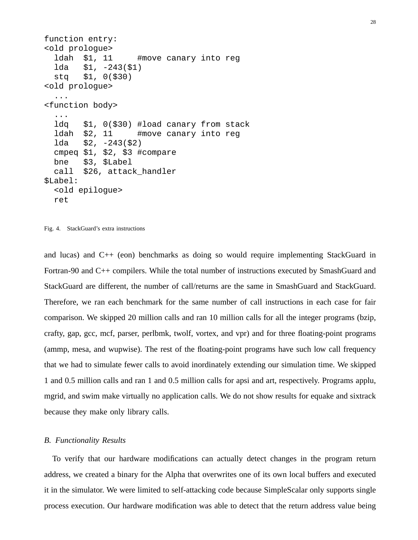```
function entry:
<old prologue>
 ldah $1, 11 #move canary into reg
 lda $1, -243($1)
 stq $1, 0($30)
<old prologue>
  ...
<function body>
  ...
 ldq $1, 0($30) #load canary from stack
 ldah $2, 11 #move canary into reg
 1 da $2, -243(52)cmpeq $1, $2, $3 #compare
 bne $3, $Label
 call $26, attack_handler
$Label:
 <old epilogue>
 ret
```
Fig. 4. StackGuard's extra instructions

and lucas) and  $C_{++}$  (eon) benchmarks as doing so would require implementing StackGuard in Fortran-90 and C++ compilers. While the total number of instructions executed by SmashGuard and StackGuard are different, the number of call/returns are the same in SmashGuard and StackGuard. Therefore, we ran each benchmark for the same number of call instructions in each case for fair comparison. We skipped 20 million calls and ran 10 million calls for all the integer programs (bzip, crafty, gap, gcc, mcf, parser, perlbmk, twolf, vortex, and vpr) and for three floating-point programs (ammp, mesa, and wupwise). The rest of the floating-point programs have such low call frequency that we had to simulate fewer calls to avoid inordinately extending our simulation time. We skipped 1 and 0.5 million calls and ran 1 and 0.5 million calls for apsi and art, respectively. Programs applu, mgrid, and swim make virtually no application calls. We do not show results for equake and sixtrack because they make only library calls.

# *B. Functionality Results*

To verify that our hardware modifications can actually detect changes in the program return address, we created a binary for the Alpha that overwrites one of its own local buffers and executed it in the simulator. We were limited to self-attacking code because SimpleScalar only supports single process execution. Our hardware modification was able to detect that the return address value being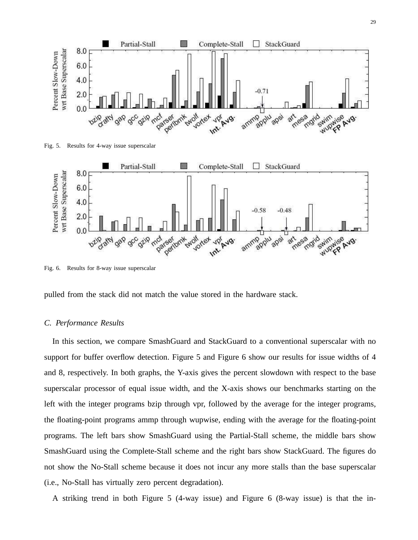

Fig. 5. Results for 4-way issue superscalar



Fig. 6. Results for 8-way issue superscalar

pulled from the stack did not match the value stored in the hardware stack.

# *C. Performance Results*

In this section, we compare SmashGuard and StackGuard to a conventional superscalar with no support for buffer overflow detection. Figure 5 and Figure 6 show our results for issue widths of 4 and 8, respectively. In both graphs, the Y-axis gives the percent slowdown with respect to the base superscalar processor of equal issue width, and the X-axis shows our benchmarks starting on the left with the integer programs bzip through vpr, followed by the average for the integer programs, the floating-point programs ammp through wupwise, ending with the average for the floating-point programs. The left bars show SmashGuard using the Partial-Stall scheme, the middle bars show SmashGuard using the Complete-Stall scheme and the right bars show StackGuard. The figures do not show the No-Stall scheme because it does not incur any more stalls than the base superscalar (i.e., No-Stall has virtually zero percent degradation).

A striking trend in both Figure 5 (4-way issue) and Figure 6 (8-way issue) is that the in-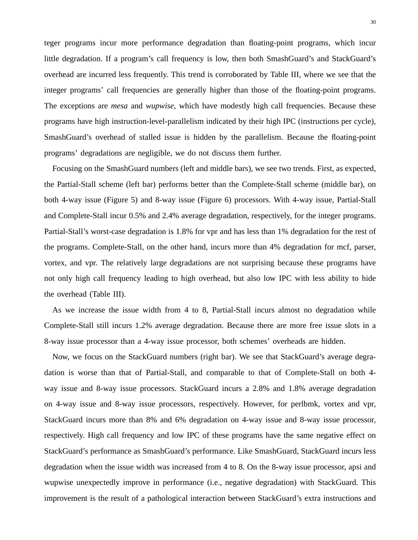teger programs incur more performance degradation than floating-point programs, which incur little degradation. If a program's call frequency is low, then both SmashGuard's and StackGuard's overhead are incurred less frequently. This trend is corroborated by Table III, where we see that the integer programs' call frequencies are generally higher than those of the floating-point programs. The exceptions are *mesa* and *wupwise*, which have modestly high call frequencies. Because these programs have high instruction-level-parallelism indicated by their high IPC (instructions per cycle), SmashGuard's overhead of stalled issue is hidden by the parallelism. Because the floating-point programs' degradations are negligible, we do not discuss them further.

Focusing on the SmashGuard numbers (left and middle bars), we see two trends. First, as expected, the Partial-Stall scheme (left bar) performs better than the Complete-Stall scheme (middle bar), on both 4-way issue (Figure 5) and 8-way issue (Figure 6) processors. With 4-way issue, Partial-Stall and Complete-Stall incur 0.5% and 2.4% average degradation, respectively, for the integer programs. Partial-Stall's worst-case degradation is 1.8% for vpr and has less than 1% degradation for the rest of the programs. Complete-Stall, on the other hand, incurs more than 4% degradation for mcf, parser, vortex, and vpr. The relatively large degradations are not surprising because these programs have not only high call frequency leading to high overhead, but also low IPC with less ability to hide the overhead (Table III).

As we increase the issue width from 4 to 8, Partial-Stall incurs almost no degradation while Complete-Stall still incurs 1.2% average degradation. Because there are more free issue slots in a 8-way issue processor than a 4-way issue processor, both schemes' overheads are hidden.

Now, we focus on the StackGuard numbers (right bar). We see that StackGuard's average degradation is worse than that of Partial-Stall, and comparable to that of Complete-Stall on both 4 way issue and 8-way issue processors. StackGuard incurs a 2.8% and 1.8% average degradation on 4-way issue and 8-way issue processors, respectively. However, for perlbmk, vortex and vpr, StackGuard incurs more than 8% and 6% degradation on 4-way issue and 8-way issue processor, respectively. High call frequency and low IPC of these programs have the same negative effect on StackGuard's performance as SmashGuard's performance. Like SmashGuard, StackGuard incurs less degradation when the issue width was increased from 4 to 8. On the 8-way issue processor, apsi and wupwise unexpectedly improve in performance (i.e., negative degradation) with StackGuard. This improvement is the result of a pathological interaction between StackGuard's extra instructions and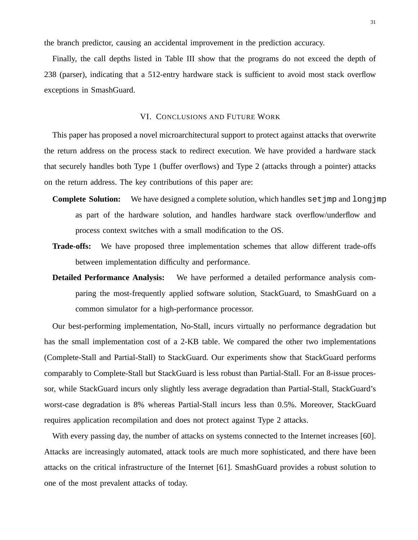the branch predictor, causing an accidental improvement in the prediction accuracy.

Finally, the call depths listed in Table III show that the programs do not exceed the depth of 238 (parser), indicating that a 512-entry hardware stack is sufficient to avoid most stack overflow exceptions in SmashGuard.

#### VI. CONCLUSIONS AND FUTURE WORK

This paper has proposed a novel microarchitectural support to protect against attacks that overwrite the return address on the process stack to redirect execution. We have provided a hardware stack that securely handles both Type 1 (buffer overflows) and Type 2 (attacks through a pointer) attacks on the return address. The key contributions of this paper are:

- **Complete Solution:** We have designed a complete solution, which handles set jmp and long jmp as part of the hardware solution, and handles hardware stack overflow/underflow and process context switches with a small modification to the OS.
- **Trade-offs:** We have proposed three implementation schemes that allow different trade-offs between implementation difficulty and performance.
- **Detailed Performance Analysis:** We have performed a detailed performance analysis comparing the most-frequently applied software solution, StackGuard, to SmashGuard on a common simulator for a high-performance processor.

Our best-performing implementation, No-Stall, incurs virtually no performance degradation but has the small implementation cost of a 2-KB table. We compared the other two implementations (Complete-Stall and Partial-Stall) to StackGuard. Our experiments show that StackGuard performs comparably to Complete-Stall but StackGuard is less robust than Partial-Stall. For an 8-issue processor, while StackGuard incurs only slightly less average degradation than Partial-Stall, StackGuard's worst-case degradation is 8% whereas Partial-Stall incurs less than 0.5%. Moreover, StackGuard requires application recompilation and does not protect against Type 2 attacks.

With every passing day, the number of attacks on systems connected to the Internet increases [60]. Attacks are increasingly automated, attack tools are much more sophisticated, and there have been attacks on the critical infrastructure of the Internet [61]. SmashGuard provides a robust solution to one of the most prevalent attacks of today.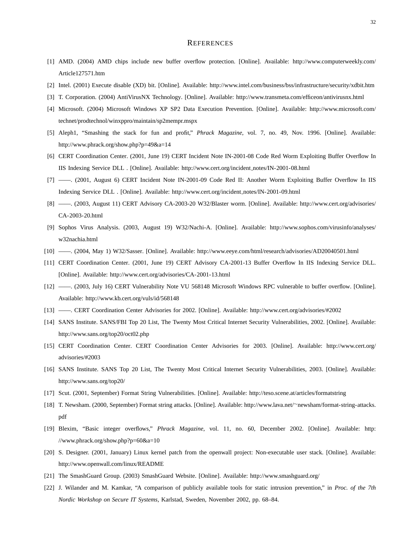#### **REFERENCES**

- [1] AMD. (2004) AMD chips include new buffer overflow protection. [Online]. Available: http://www.computerweekly.com/ Article127571.htm
- [2] Intel. (2001) Execute disable (XD) bit. [Online]. Available: http://www.intel.com/business/bss/infrastructure/security/xdbit.htm
- [3] T. Corporation. (2004) AntiVirusNX Technology. [Online]. Available: http://www.transmeta.com/efficeon/antivirusnx.html
- [4] Microsoft. (2004) Microsoft Windows XP SP2 Data Execution Prevention. [Online]. Available: http://www.microsoft.com/ technet/prodtechnol/winxppro/maintain/sp2mempr.mspx
- [5] Aleph1, "Smashing the stack for fun and profit," *Phrack Magazine*, vol. 7, no. 49, Nov. 1996. [Online]. Available: http://www.phrack.org/show.php?p=49&a=14
- [6] CERT Coordination Center. (2001, June 19) CERT Incident Note IN-2001-08 Code Red Worm Exploiting Buffer Overflow In IIS Indexing Service DLL . [Online]. Available: http://www.cert.org/incident notes/IN-2001-08.html
- [7] ——. (2001, August 6) CERT Incident Note IN-2001-09 Code Red II: Another Worm Exploiting Buffer Overflow In IIS Indexing Service DLL . [Online]. Available: http://www.cert.org/incident notes/IN-2001-09.html
- [8] ——. (2003, August 11) CERT Advisory CA-2003-20 W32/Blaster worm. [Online]. Available: http://www.cert.org/advisories/ CA-2003-20.html
- [9] Sophos Virus Analysis. (2003, August 19) W32/Nachi-A. [Online]. Available: http://www.sophos.com/virusinfo/analyses/ w32nachia.html
- [10] ——. (2004, May 1) W32/Sasser. [Online]. Available: http://www.eeye.com/html/research/advisories/AD20040501.html
- [11] CERT Coordination Center. (2001, June 19) CERT Advisory CA-2001-13 Buffer Overflow In IIS Indexing Service DLL. [Online]. Available: http://www.cert.org/advisories/CA-2001-13.html
- [12] ——. (2003, July 16) CERT Vulnerability Note VU 568148 Microsoft Windows RPC vulnerable to buffer overflow. [Online]. Available: http://www.kb.cert.org/vuls/id/568148
- [13] ——. CERT Coordination Center Advisories for 2002. [Online]. Available: http://www.cert.org/advisories/#2002
- [14] SANS Institute. SANS/FBI Top 20 List, The Twenty Most Critical Internet Security Vulnerabilities, 2002. [Online]. Available: http://www.sans.org/top20/oct02.php
- [15] CERT Coordination Center. CERT Coordination Center Advisories for 2003. [Online]. Available: http://www.cert.org/ advisories/#2003
- [16] SANS Institute. SANS Top 20 List, The Twenty Most Critical Internet Security Vulnerabilities, 2003. [Online]. Available: http://www.sans.org/top20/
- [17] Scut. (2001, September) Format String Vulnerabilities. [Online]. Available: http://teso.scene.at/articles/formatstring
- [18] T. Newsham. (2000, September) Format string attacks. [Online]. Available: http://www.lava.net/<sup>∼</sup>newsham/format-string-attacks. pdf
- [19] Blexim, "Basic integer overflows," *Phrack Magazine*, vol. 11, no. 60, December 2002. [Online]. Available: http: //www.phrack.org/show.php?p=60&a=10
- [20] S. Designer. (2001, January) Linux kernel patch from the openwall project: Non-executable user stack. [Online]. Available: http://www.openwall.com/linux/README
- [21] The SmashGuard Group. (2003) SmashGuard Website. [Online]. Available: http://www.smashguard.org/
- [22] J. Wilander and M. Kamkar, "A comparison of publicly available tools for static intrusion prevention," in *Proc. of the 7th Nordic Workshop on Secure IT Systems*, Karlstad, Sweden, November 2002, pp. 68–84.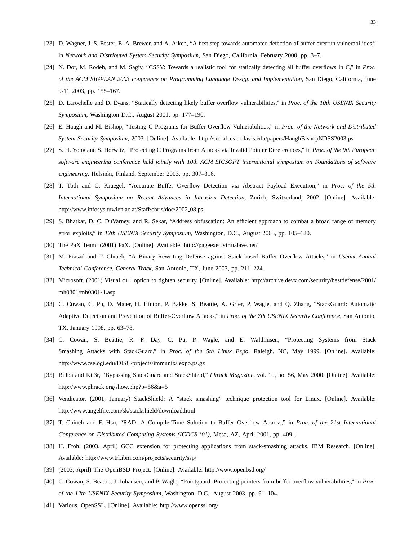- [23] D. Wagner, J. S. Foster, E. A. Brewer, and A. Aiken, "A first step towards automated detection of buffer overrun vulnerabilities," in *Network and Distributed System Security Symposium*, San Diego, California, February 2000, pp. 3–7.
- [24] N. Dor, M. Rodeh, and M. Sagiv, "CSSV: Towards a realistic tool for statically detecting all buffer overflows in C," in *Proc. of the ACM SIGPLAN 2003 conference on Programming Language Design and Implementation*, San Diego, California, June 9-11 2003, pp. 155–167.
- [25] D. Larochelle and D. Evans, "Statically detecting likely buffer overflow vulnerabilities," in *Proc. of the 10th USENIX Security Symposium*, Washington D.C., August 2001, pp. 177–190.
- [26] E. Haugh and M. Bishop, "Testing C Programs for Buffer Overflow Vulnerabilities," in *Proc. of the Network and Distributed System Security Symposium*, 2003. [Online]. Available: http://seclab.cs.ucdavis.edu/papers/HaughBishopNDSS2003.ps
- [27] S. H. Yong and S. Horwitz, "Protecting C Programs from Attacks via Invalid Pointer Dereferences," in *Proc. of the 9th European software engineering conference held jointly with 10th ACM SIGSOFT international symposium on Foundations of software engineering*, Helsinki, Finland, September 2003, pp. 307–316.
- [28] T. Toth and C. Kruegel, "Accurate Buffer Overflow Detection via Abstract Payload Execution," in *Proc. of the 5th International Symposium on Recent Advances in Intrusion Detection*, Zurich, Switzerland, 2002. [Online]. Available: http://www.infosys.tuwien.ac.at/Staff/chris/doc/2002 08.ps
- [29] S. Bhatkar, D. C. DuVarney, and R. Sekar, "Address obfuscation: An efficient approach to combat a broad range of memory error exploits," in *12th USENIX Security Symposium*, Washington, D.C., August 2003, pp. 105–120.
- [30] The PaX Team. (2001) PaX. [Online]. Available: http://pageexec.virtualave.net/
- [31] M. Prasad and T. Chiueh, "A Binary Rewriting Defense against Stack based Buffer Overflow Attacks," in *Usenix Annual Technical Conference, General Track*, San Antonio, TX, June 2003, pp. 211–224.
- [32] Microsoft. (2001) Visual c++ option to tighten security. [Online]. Available: http://archive.devx.com/security/bestdefense/2001/ mh0301/mh0301-1.asp
- [33] C. Cowan, C. Pu, D. Maier, H. Hinton, P. Bakke, S. Beattie, A. Grier, P. Wagle, and Q. Zhang, "StackGuard: Automatic Adaptive Detection and Prevention of Buffer-Overflow Attacks," in *Proc. of the 7th USENIX Security Conference*, San Antonio, TX, January 1998, pp. 63–78.
- [34] C. Cowan, S. Beattie, R. F. Day, C. Pu, P. Wagle, and E. Walthinsen, "Protecting Systems from Stack Smashing Attacks with StackGuard," in *Proc. of the 5th Linux Expo*, Raleigh, NC, May 1999. [Online]. Available: http://www.cse.ogi.edu/DISC/projects/immunix/lexpo.ps.gz
- [35] Bulba and Kil3r, "Bypassing StackGuard and StackShield," *Phrack Magazine*, vol. 10, no. 56, May 2000. [Online]. Available: http://www.phrack.org/show.php?p=56&a=5
- [36] Vendicator. (2001, January) StackShield: A "stack smashing" technique protection tool for Linux. [Online]. Available: http://www.angelfire.com/sk/stackshield/download.html
- [37] T. Chiueh and F. Hsu, "RAD: A Compile-Time Solution to Buffer Overflow Attacks," in *Proc. of the 21st International Conference on Distributed Computing Systems (ICDCS '01)*, Mesa, AZ, April 2001, pp. 409–.
- [38] H. Etoh. (2003, April) GCC extension for protecting applications from stack-smashing attacks. IBM Research. [Online]. Available: http://www.trl.ibm.com/projects/security/ssp/
- [39] (2003, April) The OpenBSD Project. [Online]. Available: http://www.openbsd.org/
- [40] C. Cowan, S. Beattie, J. Johansen, and P. Wagle, "Pointguard: Protecting pointers from buffer overflow vulnerabilities," in *Proc. of the 12th USENIX Security Symposium*, Washington, D.C., August 2003, pp. 91–104.
- [41] Various. OpenSSL. [Online]. Available: http://www.openssl.org/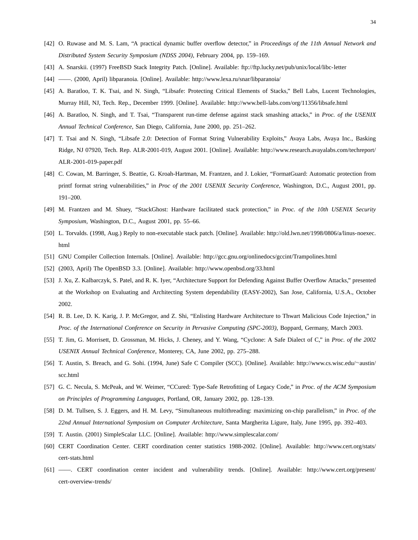- [42] O. Ruwase and M. S. Lam, "A practical dynamic buffer overflow detector," in *Proceedings of the 11th Annual Network and Distributed System Security Symposium (NDSS 2004)*, February 2004, pp. 159–169.
- [43] A. Snarskii. (1997) FreeBSD Stack Integrity Patch. [Online]. Available: ftp://ftp.lucky.net/pub/unix/local/libc-letter
- [44] ——. (2000, April) libparanoia. [Online]. Available: http://www.lexa.ru/snar/libparanoia/
- [45] A. Baratloo, T. K. Tsai, and N. Singh, "Libsafe: Protecting Critical Elements of Stacks," Bell Labs, Lucent Technologies, Murray Hill, NJ, Tech. Rep., December 1999. [Online]. Available: http://www.bell-labs.com/org/11356/libsafe.html
- [46] A. Baratloo, N. Singh, and T. Tsai, "Transparent run-time defense against stack smashing attacks," in *Proc. of the USENIX Annual Technical Conference*, San Diego, California, June 2000, pp. 251–262.
- [47] T. Tsai and N. Singh, "Libsafe 2.0: Detection of Format String Vulnerability Exploits," Avaya Labs, Avaya Inc., Basking Ridge, NJ 07920, Tech. Rep. ALR-2001-019, August 2001. [Online]. Available: http://www.research.avayalabs.com/techreport/ ALR-2001-019-paper.pdf
- [48] C. Cowan, M. Barringer, S. Beattie, G. Kroah-Hartman, M. Frantzen, and J. Lokier, "FormatGuard: Automatic protection from printf format string vulnerabilities," in *Proc of the 2001 USENIX Security Conference*, Washington, D.C., August 2001, pp. 191–200.
- [49] M. Frantzen and M. Shuey, "StackGhost: Hardware facilitated stack protection," in *Proc. of the 10th USENIX Security Symposium*, Washington, D.C., August 2001, pp. 55–66.
- [50] L. Torvalds. (1998, Aug.) Reply to non-executable stack patch. [Online]. Available: http://old.lwn.net/1998/0806/a/linus-noexec. html
- [51] GNU Compiler Collection Internals. [Online]. Available: http://gcc.gnu.org/onlinedocs/gccint/Trampolines.html
- [52] (2003, April) The OpenBSD 3.3. [Online]. Available: http://www.openbsd.org/33.html
- [53] J. Xu, Z. Kalbarczyk, S. Patel, and R. K. Iyer, "Architecture Support for Defending Against Buffer Overflow Attacks," presented at the Workshop on Evaluating and Architecting System dependability (EASY-2002), San Jose, California, U.S.A., October 2002.
- [54] R. B. Lee, D. K. Karig, J. P. McGregor, and Z. Shi, "Enlisting Hardware Architecture to Thwart Malicious Code Injection," in *Proc. of the International Conference on Security in Pervasive Computing (SPC-2003)*, Boppard, Germany, March 2003.
- [55] T. Jim, G. Morrisett, D. Grossman, M. Hicks, J. Cheney, and Y. Wang, "Cyclone: A Safe Dialect of C," in *Proc. of the 2002 USENIX Annual Technical Conference*, Monterey, CA, June 2002, pp. 275–288.
- [56] T. Austin, S. Breach, and G. Sohi. (1994, June) Safe C Compiler (SCC). [Online]. Available: http://www.cs.wisc.edu/<sup>∼</sup>austin/ scc.html
- [57] G. C. Necula, S. McPeak, and W. Weimer, "CCured: Type-Safe Retrofitting of Legacy Code," in *Proc. of the ACM Symposium on Principles of Programming Languages*, Portland, OR, January 2002, pp. 128–139.
- [58] D. M. Tullsen, S. J. Eggers, and H. M. Levy, "Simultaneous multithreading: maximizing on-chip parallelism," in *Proc. of the 22nd Annual International Symposium on Computer Architecture*, Santa Margherita Ligure, Italy, June 1995, pp. 392–403.
- [59] T. Austin. (2001) SimpleScalar LLC. [Online]. Available: http://www.simplescalar.com/
- [60] CERT Coordination Center. CERT coordination center statistics 1988-2002. [Online]. Available: http://www.cert.org/stats/ cert-stats.html
- [61] ——. CERT coordination center incident and vulnerability trends. [Online]. Available: http://www.cert.org/present/ cert-overview-trends/